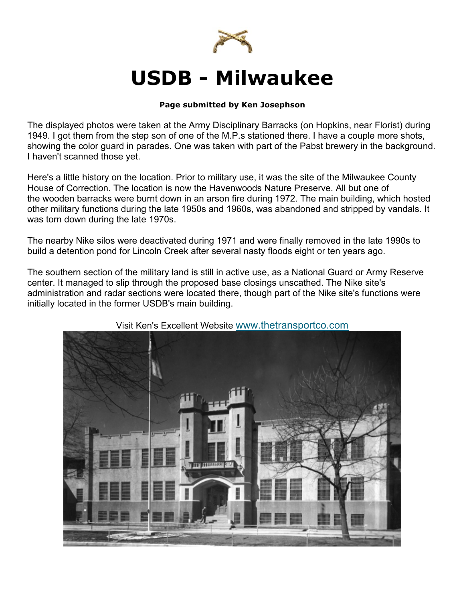

## **USDB - Milwaukee**

## **Page submitted by Ken Josephson**

The displayed photos were taken at the Army Disciplinary Barracks (on Hopkins, near Florist) during 1949. I got them from the step son of one of the M.P.s stationed there. I have a couple more shots, showing the color guard in parades. One was taken with part of the Pabst brewery in the background. I haven't scanned those yet.

Here's a little history on the location. Prior to military use, it was the site of the Milwaukee County House of Correction. The location is now the Havenwoods Nature Preserve. All but one of the wooden barracks were burnt down in an arson fire during 1972. The main building, which hosted other military functions during the late 1950s and 1960s, was abandoned and stripped by vandals. It was torn down during the late 1970s.

The nearby Nike silos were deactivated during 1971 and were finally removed in the late 1990s to build a detention pond for Lincoln Creek after several nasty floods eight or ten years ago.

The southern section of the military land is still in active use, as a National Guard or Army Reserve center. It managed to slip through the proposed base closings unscathed. The Nike site's administration and radar sections were located there, though part of the Nike site's functions were initially located in the former USDB's main building.



## Visit Ken's Excellent Website www.thetransportco.com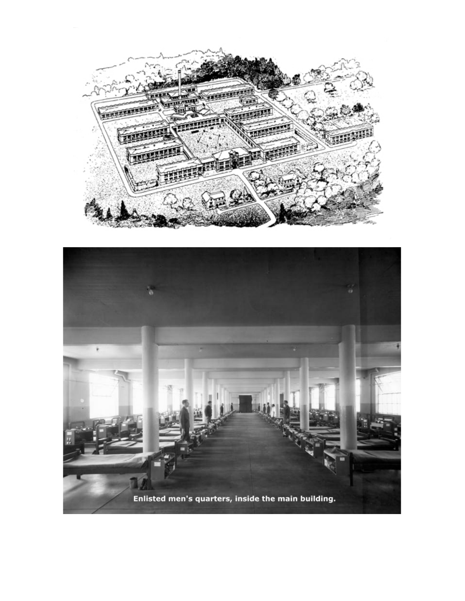